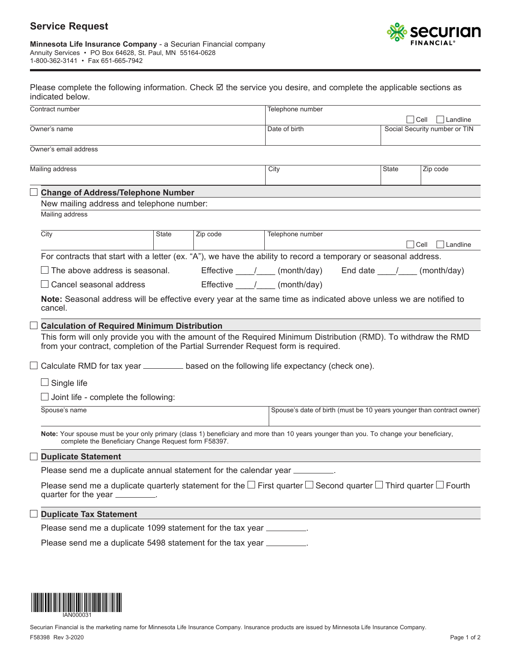## **Service Request**



|                  | Please complete the following information. Check ☑ the service you desire, and complete the applicable sections as |
|------------------|--------------------------------------------------------------------------------------------------------------------|
| indicated below. |                                                                                                                    |

| Contract number                                                                                                                                                                                      |       |                         | Telephone number                                                      |  |              |                               |  |
|------------------------------------------------------------------------------------------------------------------------------------------------------------------------------------------------------|-------|-------------------------|-----------------------------------------------------------------------|--|--------------|-------------------------------|--|
|                                                                                                                                                                                                      |       |                         |                                                                       |  |              | $ $ Cell<br>Landline          |  |
| Owner's name                                                                                                                                                                                         |       |                         | Date of birth                                                         |  |              | Social Security number or TIN |  |
| Owner's email address                                                                                                                                                                                |       |                         |                                                                       |  |              |                               |  |
|                                                                                                                                                                                                      |       |                         |                                                                       |  |              |                               |  |
| Mailing address                                                                                                                                                                                      |       |                         | City                                                                  |  | <b>State</b> | Zip code                      |  |
| <b>Change of Address/Telephone Number</b>                                                                                                                                                            |       |                         |                                                                       |  |              |                               |  |
| New mailing address and telephone number:                                                                                                                                                            |       |                         |                                                                       |  |              |                               |  |
| Mailing address                                                                                                                                                                                      |       |                         |                                                                       |  |              |                               |  |
| City                                                                                                                                                                                                 | State | Zip code                | Telephone number                                                      |  |              |                               |  |
|                                                                                                                                                                                                      |       |                         |                                                                       |  |              | $ $ Cell<br>Landline          |  |
| For contracts that start with a letter (ex. "A"), we have the ability to record a temporary or seasonal address.                                                                                     |       |                         |                                                                       |  |              |                               |  |
| $\Box$ The above address is seasonal.                                                                                                                                                                |       |                         | Effective / (month/day) End date / (month/day)                        |  |              |                               |  |
| $\Box$ Cancel seasonal address                                                                                                                                                                       |       | Effective / (month/day) |                                                                       |  |              |                               |  |
| Note: Seasonal address will be effective every year at the same time as indicated above unless we are notified to<br>cancel.                                                                         |       |                         |                                                                       |  |              |                               |  |
| <b>Calculation of Required Minimum Distribution</b>                                                                                                                                                  |       |                         |                                                                       |  |              |                               |  |
| This form will only provide you with the amount of the Required Minimum Distribution (RMD). To withdraw the RMD<br>from your contract, completion of the Partial Surrender Request form is required. |       |                         |                                                                       |  |              |                               |  |
| $\Box$ Calculate RMD for tax year $\_\_\_\_\_\_\_\$ based on the following life expectancy (check one).                                                                                              |       |                         |                                                                       |  |              |                               |  |
| $\Box$ Single life                                                                                                                                                                                   |       |                         |                                                                       |  |              |                               |  |
| $\Box$ Joint life - complete the following:                                                                                                                                                          |       |                         |                                                                       |  |              |                               |  |
| Spouse's name                                                                                                                                                                                        |       |                         | Spouse's date of birth (must be 10 years younger than contract owner) |  |              |                               |  |
| Note: Your spouse must be your only primary (class 1) beneficiary and more than 10 years younger than you. To change your beneficiary,<br>complete the Beneficiary Change Request form F58397.       |       |                         |                                                                       |  |              |                               |  |
| <b>Duplicate Statement</b>                                                                                                                                                                           |       |                         |                                                                       |  |              |                               |  |
| Please send me a duplicate annual statement for the calendar year ________                                                                                                                           |       |                         |                                                                       |  |              |                               |  |
| Please send me a duplicate quarterly statement for the $\Box$ First quarter $\Box$ Second quarter $\Box$ Third quarter $\Box$ Fourth<br>quarter for the year _________.                              |       |                         |                                                                       |  |              |                               |  |
| <b>Duplicate Tax Statement</b>                                                                                                                                                                       |       |                         |                                                                       |  |              |                               |  |
| Please send me a duplicate 1099 statement for the tax year _________.                                                                                                                                |       |                         |                                                                       |  |              |                               |  |
| Please send me a duplicate 5498 statement for the tax year _________.                                                                                                                                |       |                         |                                                                       |  |              |                               |  |
|                                                                                                                                                                                                      |       |                         |                                                                       |  |              |                               |  |
|                                                                                                                                                                                                      |       |                         |                                                                       |  |              |                               |  |